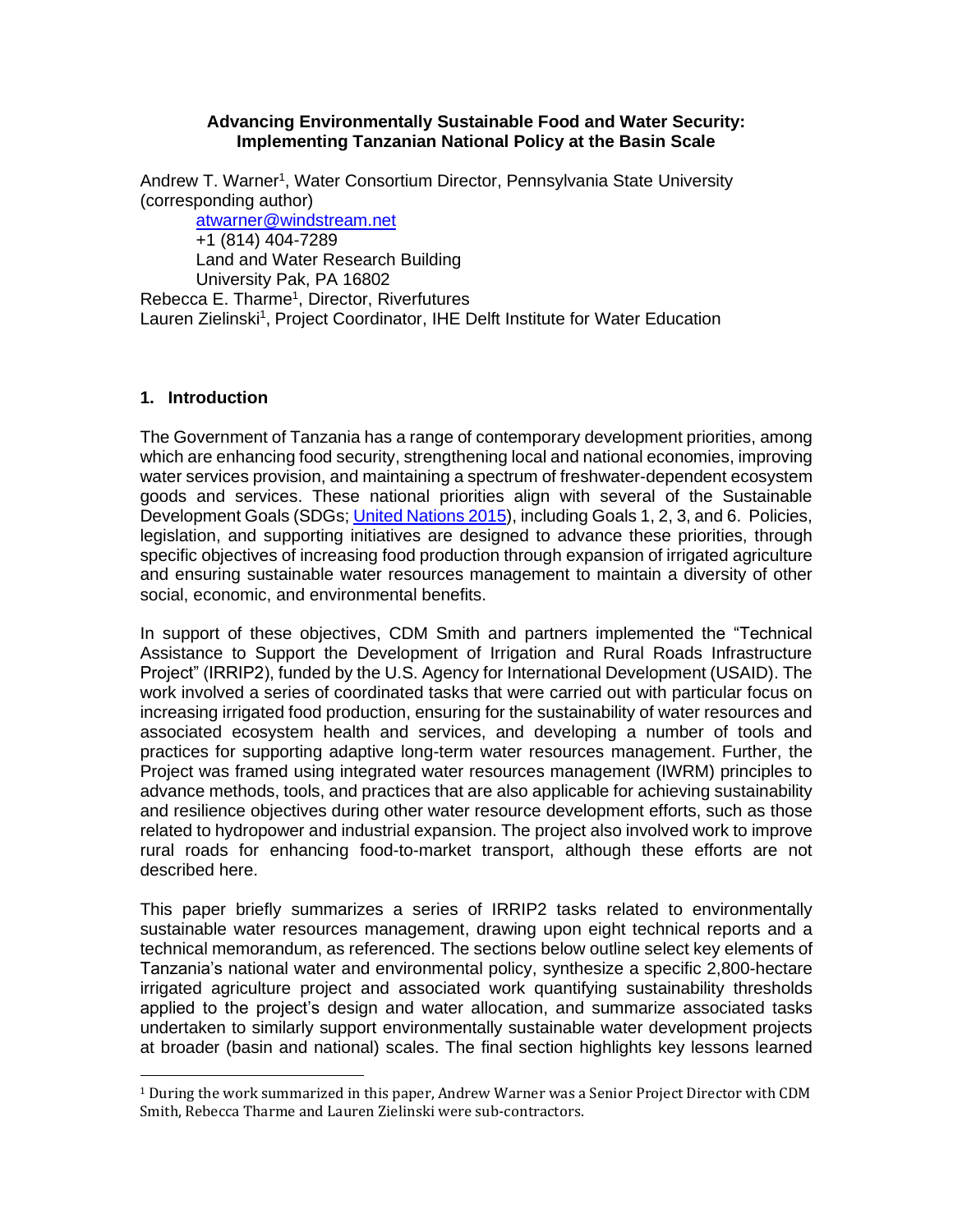#### **Advancing Environmentally Sustainable Food and Water Security: Implementing Tanzanian National Policy at the Basin Scale**

Andrew T. Warner<sup>1</sup>, Water Consortium Director, Pennsylvania State University (corresponding author)

[atwarner@windstream.net](mailto:atwarner@windstream.net) +1 (814) 404-7289 Land and Water Research Building University Pak, PA 16802

Rebecca E. Tharme<sup>1</sup>, Director, Riverfutures Lauren Zielinski<sup>1</sup>, Project Coordinator, IHE Delft Institute for Water Education

### **1. Introduction**

The Government of Tanzania has a range of contemporary development priorities, among which are enhancing food security, strengthening local and national economies, improving water services provision, and maintaining a spectrum of freshwater-dependent ecosystem goods and services. These national priorities align with several of the Sustainable Development Goals (SDGs; United Nations 2015), including Goals 1, 2, 3, and 6. Policies, legislation, and supporting initiatives are designed to advance these priorities, through specific objectives of increasing food production through expansion of irrigated agriculture and ensuring sustainable water resources management to maintain a diversity of other social, economic, and environmental benefits.

In support of these objectives, CDM Smith and partners implemented the "Technical Assistance to Support the Development of Irrigation and Rural Roads Infrastructure Project" (IRRIP2), funded by the U.S. Agency for International Development (USAID). The work involved a series of coordinated tasks that were carried out with particular focus on increasing irrigated food production, ensuring for the sustainability of water resources and associated ecosystem health and services, and developing a number of tools and practices for supporting adaptive long-term water resources management. Further, the Project was framed using integrated water resources management (IWRM) principles to advance methods, tools, and practices that are also applicable for achieving sustainability and resilience objectives during other water resource development efforts, such as those related to hydropower and industrial expansion. The project also involved work to improve rural roads for enhancing food-to-market transport, although these efforts are not described here.

This paper briefly summarizes a series of IRRIP2 tasks related to environmentally sustainable water resources management, drawing upon eight technical reports and a technical memorandum, as referenced. The sections below outline select key elements of Tanzania's national water and environmental policy, synthesize a specific 2,800-hectare irrigated agriculture project and associated work quantifying sustainability thresholds applied to the project's design and water allocation, and summarize associated tasks undertaken to similarly support environmentally sustainable water development projects at broader (basin and national) scales. The final section highlights key lessons learned

 $1$  During the work summarized in this paper, Andrew Warner was a Senior Project Director with CDM Smith, Rebecca Tharme and Lauren Zielinski were sub-contractors.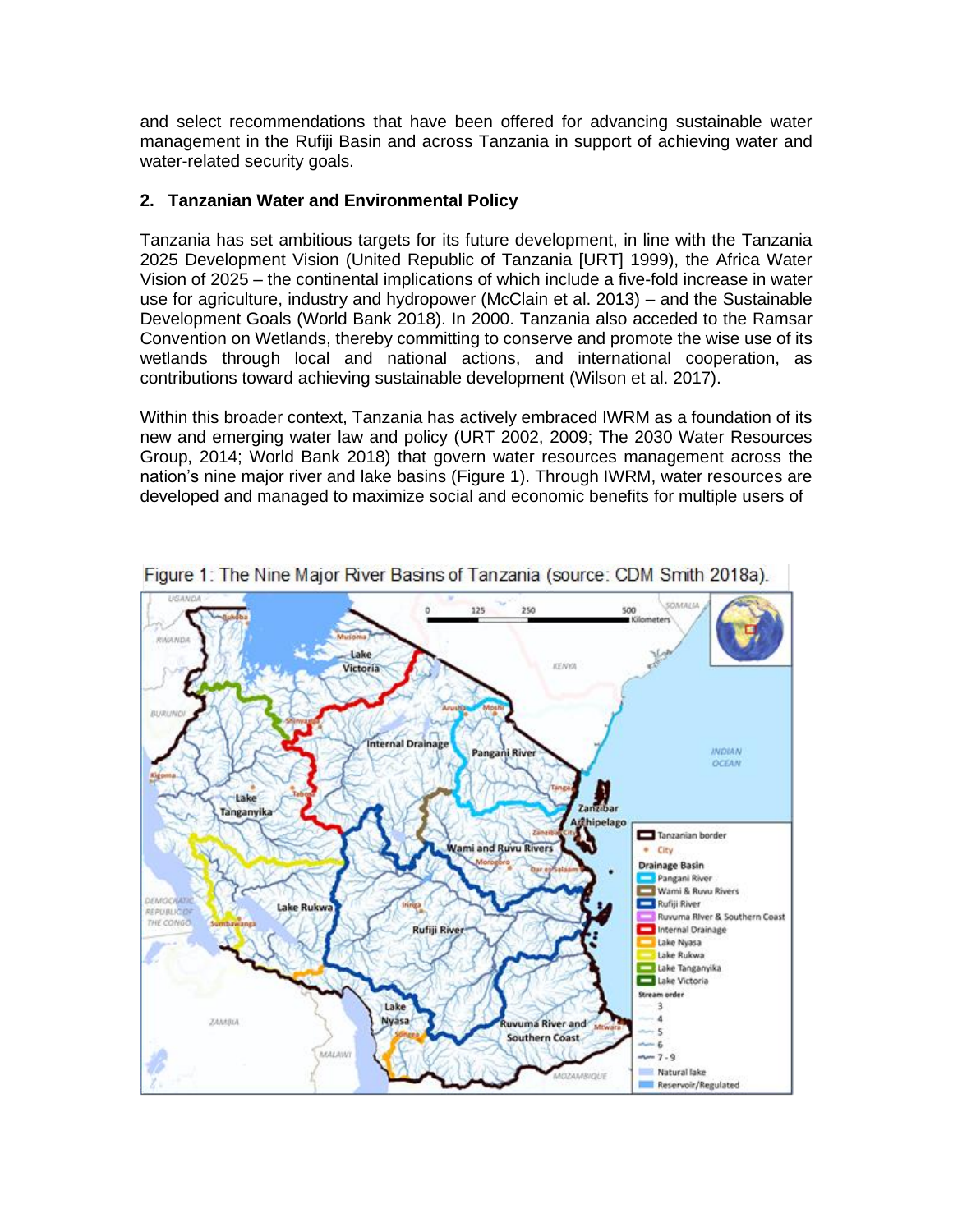and select recommendations that have been offered for advancing sustainable water management in the Rufiji Basin and across Tanzania in support of achieving water and water-related security goals.

### **2. Tanzanian Water and Environmental Policy**

Tanzania has set ambitious targets for its future development, in line with the Tanzania 2025 Development Vision (United Republic of Tanzania [URT] 1999), the Africa Water Vision of 2025 – the continental implications of which include a five-fold increase in water use for agriculture, industry and hydropower (McClain et al. 2013) – and the Sustainable Development Goals (World Bank 2018). In 2000. Tanzania also acceded to the Ramsar Convention on Wetlands, thereby committing to conserve and promote the wise use of its wetlands through local and national actions, and international cooperation, as contributions toward achieving sustainable development (Wilson et al. 2017).

Within this broader context, Tanzania has actively embraced IWRM as a foundation of its new and emerging water law and policy (URT 2002, 2009; The 2030 Water Resources Group, 2014; World Bank 2018) that govern water resources management across the nation's nine major river and lake basins (Figure 1). Through IWRM, water resources are developed and managed to maximize social and economic benefits for multiple users of



Figure 1: The Nine Maior River Basins of Tanzania (source: CDM Smith 2018a).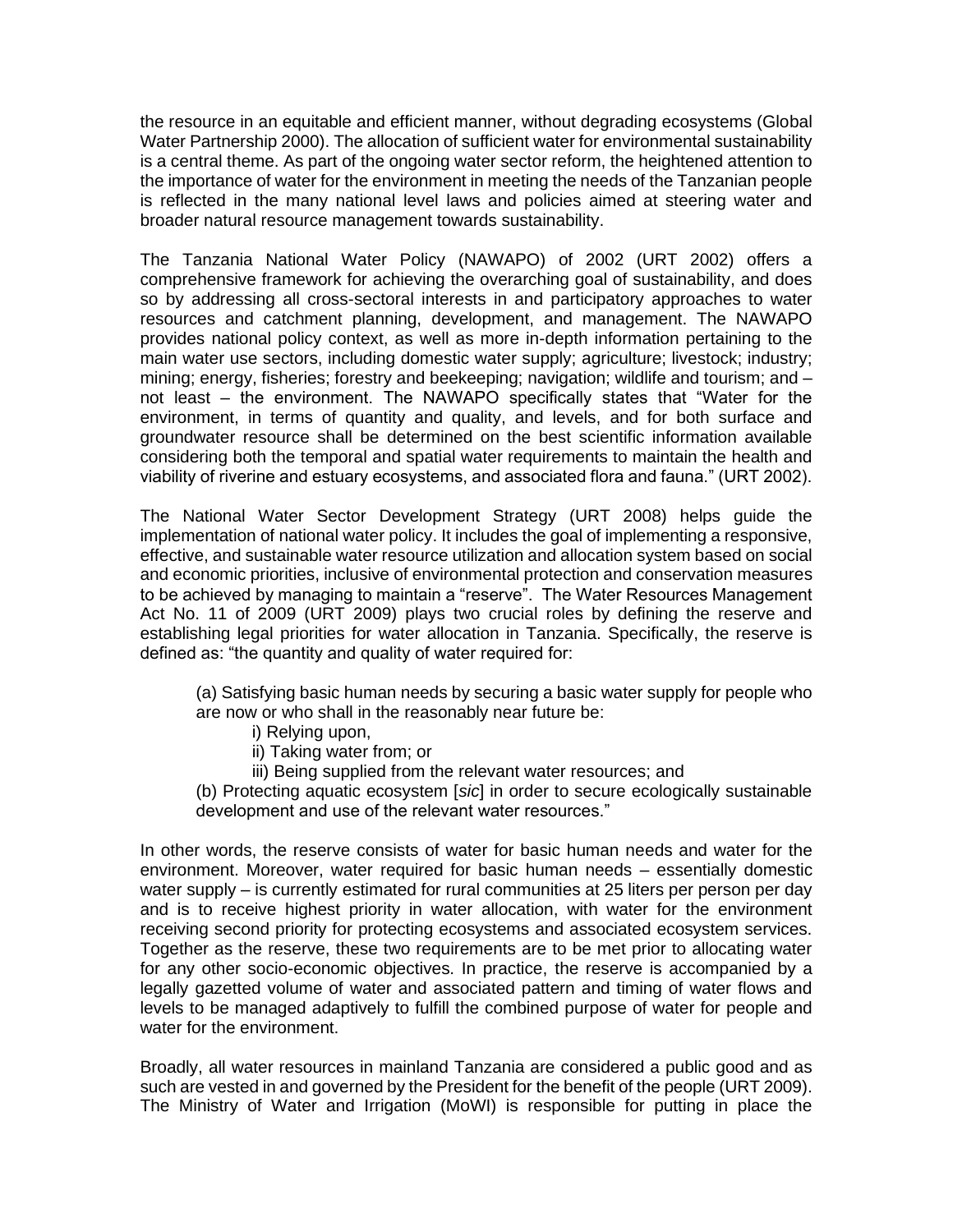the resource in an equitable and efficient manner, without degrading ecosystems (Global Water Partnership 2000). The allocation of sufficient water for environmental sustainability is a central theme. As part of the ongoing water sector reform, the heightened attention to the importance of water for the environment in meeting the needs of the Tanzanian people is reflected in the many national level laws and policies aimed at steering water and broader natural resource management towards sustainability.

The Tanzania National Water Policy (NAWAPO) of 2002 (URT 2002) offers a comprehensive framework for achieving the overarching goal of sustainability, and does so by addressing all cross-sectoral interests in and participatory approaches to water resources and catchment planning, development, and management. The NAWAPO provides national policy context, as well as more in-depth information pertaining to the main water use sectors, including domestic water supply; agriculture; livestock; industry; mining; energy, fisheries; forestry and beekeeping; navigation; wildlife and tourism; and – not least – the environment. The NAWAPO specifically states that "Water for the environment, in terms of quantity and quality, and levels, and for both surface and groundwater resource shall be determined on the best scientific information available considering both the temporal and spatial water requirements to maintain the health and viability of riverine and estuary ecosystems, and associated flora and fauna." (URT 2002).

The National Water Sector Development Strategy (URT 2008) helps guide the implementation of national water policy. It includes the goal of implementing a responsive, effective, and sustainable water resource utilization and allocation system based on social and economic priorities, inclusive of environmental protection and conservation measures to be achieved by managing to maintain a "reserve". The Water Resources Management Act No. 11 of 2009 (URT 2009) plays two crucial roles by defining the reserve and establishing legal priorities for water allocation in Tanzania. Specifically, the reserve is defined as: "the quantity and quality of water required for:

(a) Satisfying basic human needs by securing a basic water supply for people who are now or who shall in the reasonably near future be:

- i) Relying upon,
- ii) Taking water from; or
- iii) Being supplied from the relevant water resources; and

(b) Protecting aquatic ecosystem [*sic*] in order to secure ecologically sustainable development and use of the relevant water resources."

In other words, the reserve consists of water for basic human needs and water for the environment. Moreover, water required for basic human needs – essentially domestic water supply – is currently estimated for rural communities at 25 liters per person per day and is to receive highest priority in water allocation, with water for the environment receiving second priority for protecting ecosystems and associated ecosystem services. Together as the reserve, these two requirements are to be met prior to allocating water for any other socio-economic objectives. In practice, the reserve is accompanied by a legally gazetted volume of water and associated pattern and timing of water flows and levels to be managed adaptively to fulfill the combined purpose of water for people and water for the environment.

Broadly, all water resources in mainland Tanzania are considered a public good and as such are vested in and governed by the President for the benefit of the people (URT 2009). The Ministry of Water and Irrigation (MoWI) is responsible for putting in place the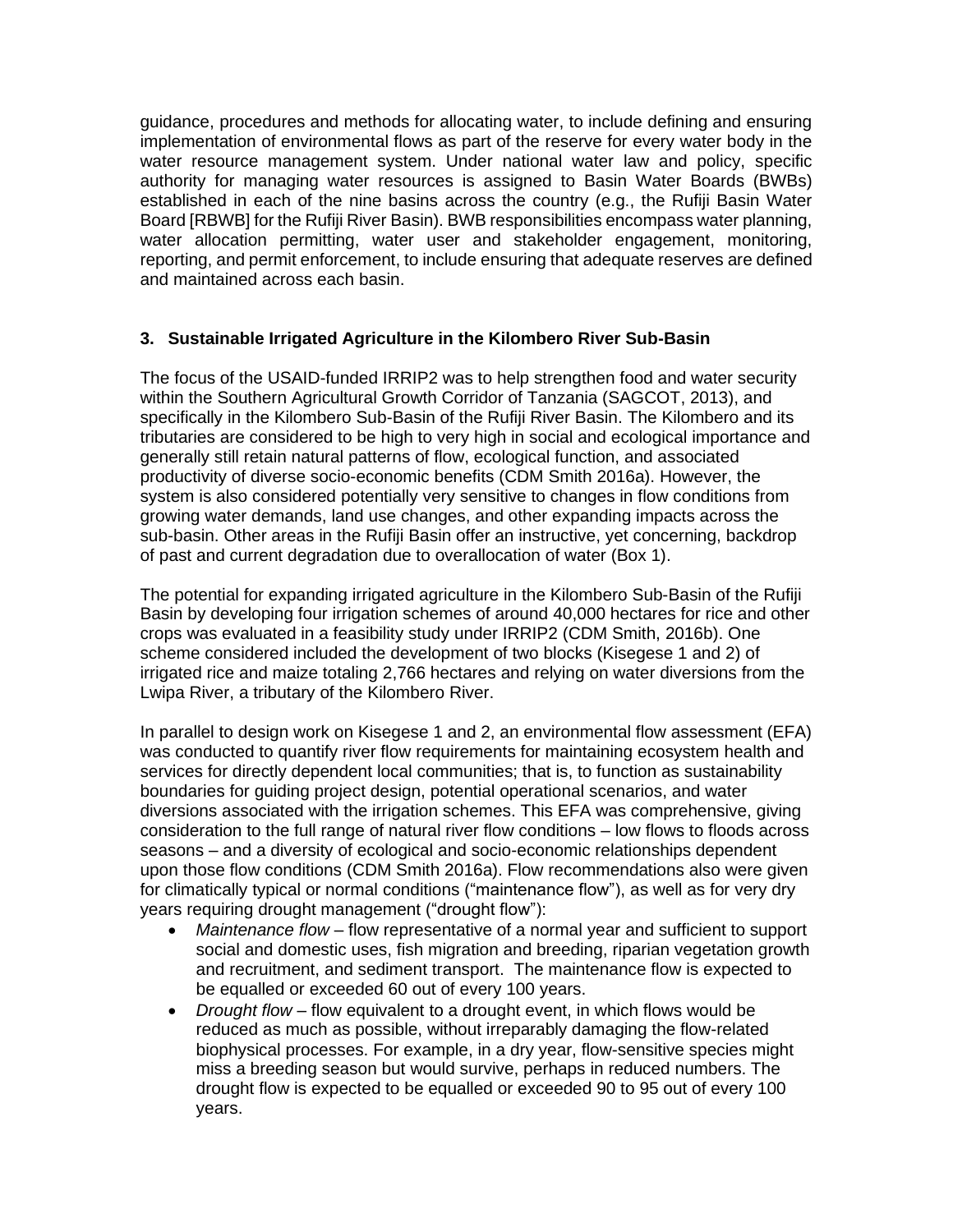guidance, procedures and methods for allocating water, to include defining and ensuring implementation of environmental flows as part of the reserve for every water body in the water resource management system. Under national water law and policy, specific authority for managing water resources is assigned to Basin Water Boards (BWBs) established in each of the nine basins across the country (e.g., the Rufiji Basin Water Board [RBWB] for the Rufiji River Basin). BWB responsibilities encompass water planning, water allocation permitting, water user and stakeholder engagement, monitoring, reporting, and permit enforcement, to include ensuring that adequate reserves are defined and maintained across each basin.

# **3. Sustainable Irrigated Agriculture in the Kilombero River Sub-Basin**

The focus of the USAID-funded IRRIP2 was to help strengthen food and water security within the Southern Agricultural Growth Corridor of Tanzania (SAGCOT, 2013), and specifically in the Kilombero Sub-Basin of the Rufiji River Basin. The Kilombero and its tributaries are considered to be high to very high in social and ecological importance and generally still retain natural patterns of flow, ecological function, and associated productivity of diverse socio-economic benefits (CDM Smith 2016a). However, the system is also considered potentially very sensitive to changes in flow conditions from growing water demands, land use changes, and other expanding impacts across the sub-basin. Other areas in the Rufiji Basin offer an instructive, yet concerning, backdrop of past and current degradation due to overallocation of water (Box 1).

The potential for expanding irrigated agriculture in the Kilombero Sub-Basin of the Rufiji Basin by developing four irrigation schemes of around 40,000 hectares for rice and other crops was evaluated in a feasibility study under IRRIP2 (CDM Smith, 2016b). One scheme considered included the development of two blocks (Kisegese 1 and 2) of irrigated rice and maize totaling 2,766 hectares and relying on water diversions from the Lwipa River, a tributary of the Kilombero River.

In parallel to design work on Kisegese 1 and 2, an environmental flow assessment (EFA) was conducted to quantify river flow requirements for maintaining ecosystem health and services for directly dependent local communities; that is, to function as sustainability boundaries for guiding project design, potential operational scenarios, and water diversions associated with the irrigation schemes. This EFA was comprehensive, giving consideration to the full range of natural river flow conditions – low flows to floods across seasons – and a diversity of ecological and socio-economic relationships dependent upon those flow conditions (CDM Smith 2016a). Flow recommendations also were given for climatically typical or normal conditions ("maintenance flow"), as well as for very dry years requiring drought management ("drought flow"):

- *Maintenance flow* flow representative of a normal year and sufficient to support social and domestic uses, fish migration and breeding, riparian vegetation growth and recruitment, and sediment transport. The maintenance flow is expected to be equalled or exceeded 60 out of every 100 years.
- *Drought flow* flow equivalent to a drought event, in which flows would be reduced as much as possible, without irreparably damaging the flow-related biophysical processes. For example, in a dry year, flow-sensitive species might miss a breeding season but would survive, perhaps in reduced numbers. The drought flow is expected to be equalled or exceeded 90 to 95 out of every 100 years.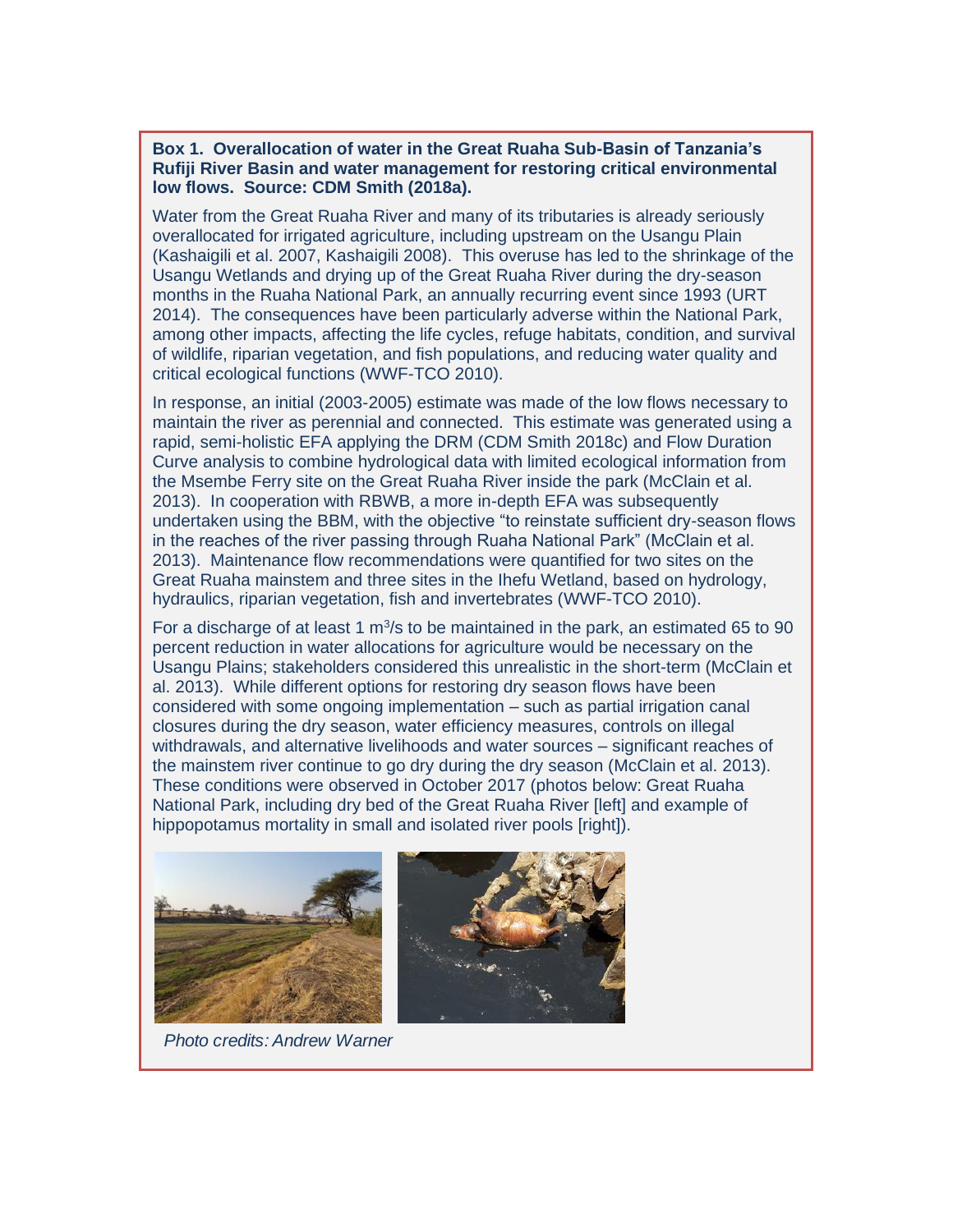#### **Box 1. Overallocation of water in the Great Ruaha Sub-Basin of Tanzania's Rufiji River Basin and water management for restoring critical environmental low flows. Source: CDM Smith (2018a).**

Water from the Great Ruaha River and many of its tributaries is already seriously overallocated for irrigated agriculture, including upstream on the Usangu Plain (Kashaigili et al. 2007, Kashaigili 2008). This overuse has led to the shrinkage of the Usangu Wetlands and drying up of the Great Ruaha River during the dry-season months in the Ruaha National Park, an annually recurring event since 1993 (URT 2014). The consequences have been particularly adverse within the National Park, among other impacts, affecting the life cycles, refuge habitats, condition, and survival of wildlife, riparian vegetation, and fish populations, and reducing water quality and critical ecological functions (WWF-TCO 2010).

In response, an initial (2003-2005) estimate was made of the low flows necessary to maintain the river as perennial and connected. This estimate was generated using a rapid, semi-holistic EFA applying the DRM (CDM Smith 2018c) and Flow Duration Curve analysis to combine hydrological data with limited ecological information from the Msembe Ferry site on the Great Ruaha River inside the park (McClain et al. 2013). In cooperation with RBWB, a more in-depth EFA was subsequently undertaken using the BBM, with the objective "to reinstate sufficient dry-season flows in the reaches of the river passing through Ruaha National Park" (McClain et al. 2013). Maintenance flow recommendations were quantified for two sites on the Great Ruaha mainstem and three sites in the Ihefu Wetland, based on hydrology, hydraulics, riparian vegetation, fish and invertebrates (WWF-TCO 2010).

For a discharge of at least 1  $m^3/s$  to be maintained in the park, an estimated 65 to 90 percent reduction in water allocations for agriculture would be necessary on the Usangu Plains; stakeholders considered this unrealistic in the short-term (McClain et al. 2013). While different options for restoring dry season flows have been considered with some ongoing implementation – such as partial irrigation canal closures during the dry season, water efficiency measures, controls on illegal withdrawals, and alternative livelihoods and water sources – significant reaches of the mainstem river continue to go dry during the dry season (McClain et al. 2013). These conditions were observed in October 2017 (photos below: Great Ruaha National Park, including dry bed of the Great Ruaha River [left] and example of hippopotamus mortality in small and isolated river pools [right]).



*Photo credits: Andrew Warner*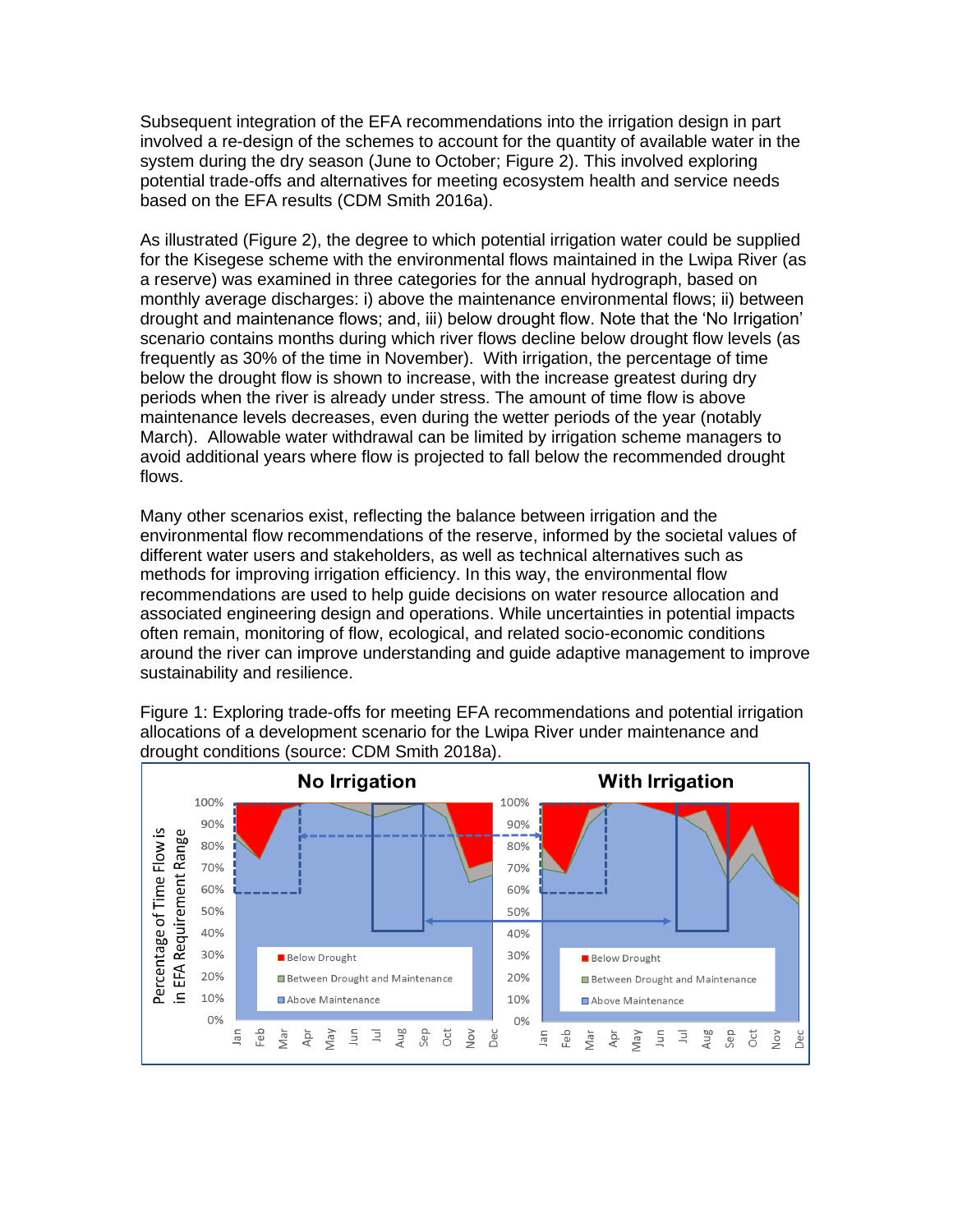Subsequent integration of the EFA recommendations into the irrigation design in part involved a re-design of the schemes to account for the quantity of available water in the system during the dry season (June to October; Figure 2). This involved exploring potential trade-offs and alternatives for meeting ecosystem health and service needs based on the EFA results (CDM Smith 2016a).

As illustrated (Figure 2), the degree to which potential irrigation water could be supplied for the Kisegese scheme with the environmental flows maintained in the Lwipa River (as a reserve) was examined in three categories for the annual hydrograph, based on monthly average discharges: i) above the maintenance environmental flows; ii) between drought and maintenance flows; and, iii) below drought flow. Note that the 'No Irrigation' scenario contains months during which river flows decline below drought flow levels (as frequently as 30% of the time in November). With irrigation, the percentage of time below the drought flow is shown to increase, with the increase greatest during dry periods when the river is already under stress. The amount of time flow is above maintenance levels decreases, even during the wetter periods of the year (notably March). Allowable water withdrawal can be limited by irrigation scheme managers to avoid additional years where flow is projected to fall below the recommended drought flows.

Many other scenarios exist, reflecting the balance between irrigation and the environmental flow recommendations of the reserve, informed by the societal values of different water users and stakeholders, as well as technical alternatives such as methods for improving irrigation efficiency. In this way, the environmental flow recommendations are used to help guide decisions on water resource allocation and associated engineering design and operations. While uncertainties in potential impacts often remain, monitoring of flow, ecological, and related socio-economic conditions around the river can improve understanding and guide adaptive management to improve sustainability and resilience.

Figure 1: Exploring trade-offs for meeting EFA recommendations and potential irrigation allocations of a development scenario for the Lwipa River under maintenance and drought conditions (source: CDM Smith 2018a).

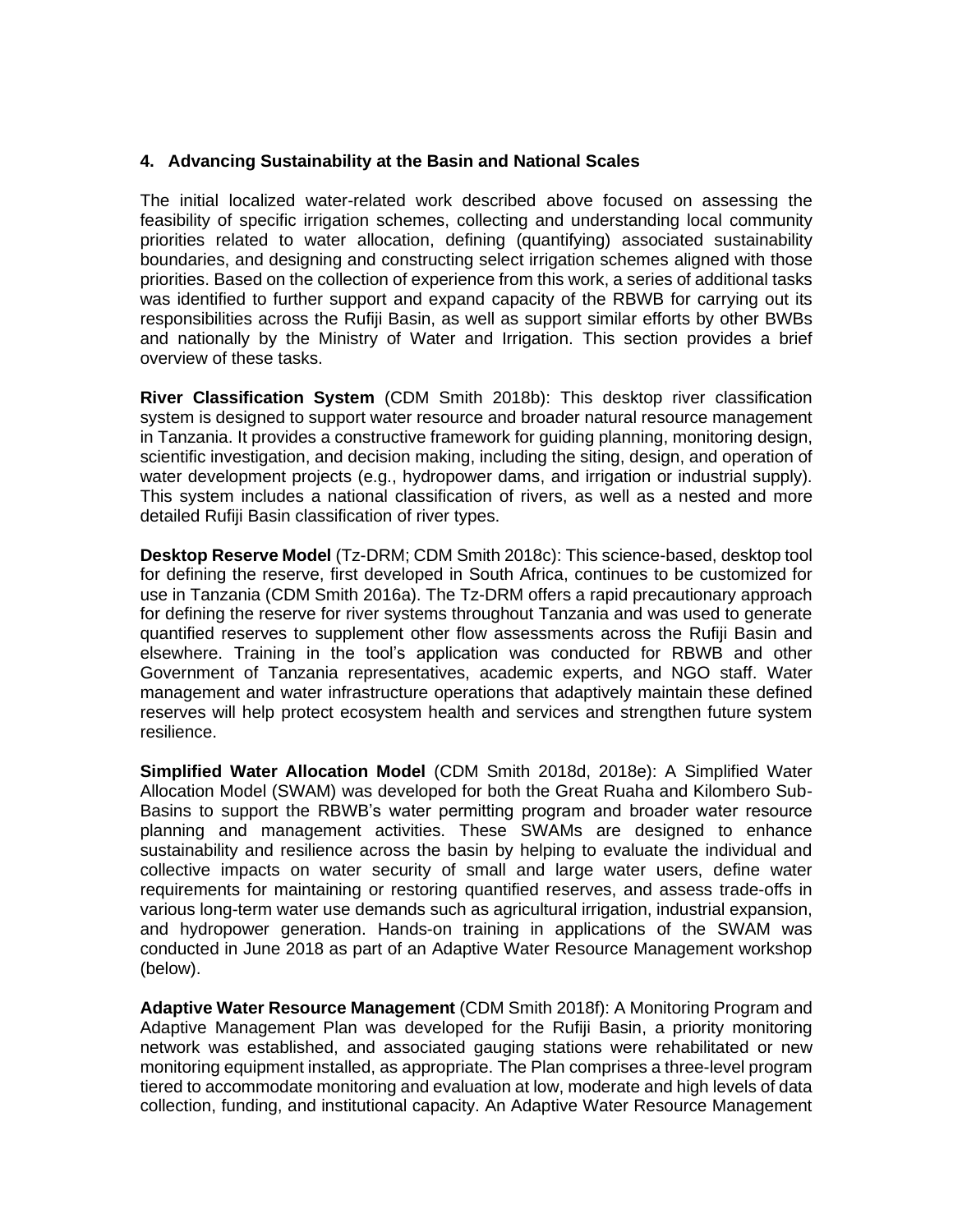### **4. Advancing Sustainability at the Basin and National Scales**

The initial localized water-related work described above focused on assessing the feasibility of specific irrigation schemes, collecting and understanding local community priorities related to water allocation, defining (quantifying) associated sustainability boundaries, and designing and constructing select irrigation schemes aligned with those priorities. Based on the collection of experience from this work, a series of additional tasks was identified to further support and expand capacity of the RBWB for carrying out its responsibilities across the Rufiji Basin, as well as support similar efforts by other BWBs and nationally by the Ministry of Water and Irrigation. This section provides a brief overview of these tasks.

**River Classification System** (CDM Smith 2018b): This desktop river classification system is designed to support water resource and broader natural resource management in Tanzania. It provides a constructive framework for guiding planning, monitoring design, scientific investigation, and decision making, including the siting, design, and operation of water development projects (e.g., hydropower dams, and irrigation or industrial supply). This system includes a national classification of rivers, as well as a nested and more detailed Rufiji Basin classification of river types.

**Desktop Reserve Model** (Tz-DRM; CDM Smith 2018c): This science-based, desktop tool for defining the reserve, first developed in South Africa, continues to be customized for use in Tanzania (CDM Smith 2016a). The Tz-DRM offers a rapid precautionary approach for defining the reserve for river systems throughout Tanzania and was used to generate quantified reserves to supplement other flow assessments across the Rufiji Basin and elsewhere. Training in the tool's application was conducted for RBWB and other Government of Tanzania representatives, academic experts, and NGO staff. Water management and water infrastructure operations that adaptively maintain these defined reserves will help protect ecosystem health and services and strengthen future system resilience.

**Simplified Water Allocation Model** (CDM Smith 2018d, 2018e): A Simplified Water Allocation Model (SWAM) was developed for both the Great Ruaha and Kilombero Sub-Basins to support the RBWB's water permitting program and broader water resource planning and management activities. These SWAMs are designed to enhance sustainability and resilience across the basin by helping to evaluate the individual and collective impacts on water security of small and large water users, define water requirements for maintaining or restoring quantified reserves, and assess trade-offs in various long-term water use demands such as agricultural irrigation, industrial expansion, and hydropower generation. Hands-on training in applications of the SWAM was conducted in June 2018 as part of an Adaptive Water Resource Management workshop (below).

**Adaptive Water Resource Management** (CDM Smith 2018f): A Monitoring Program and Adaptive Management Plan was developed for the Rufiji Basin, a priority monitoring network was established, and associated gauging stations were rehabilitated or new monitoring equipment installed, as appropriate. The Plan comprises a three-level program tiered to accommodate monitoring and evaluation at low, moderate and high levels of data collection, funding, and institutional capacity. An Adaptive Water Resource Management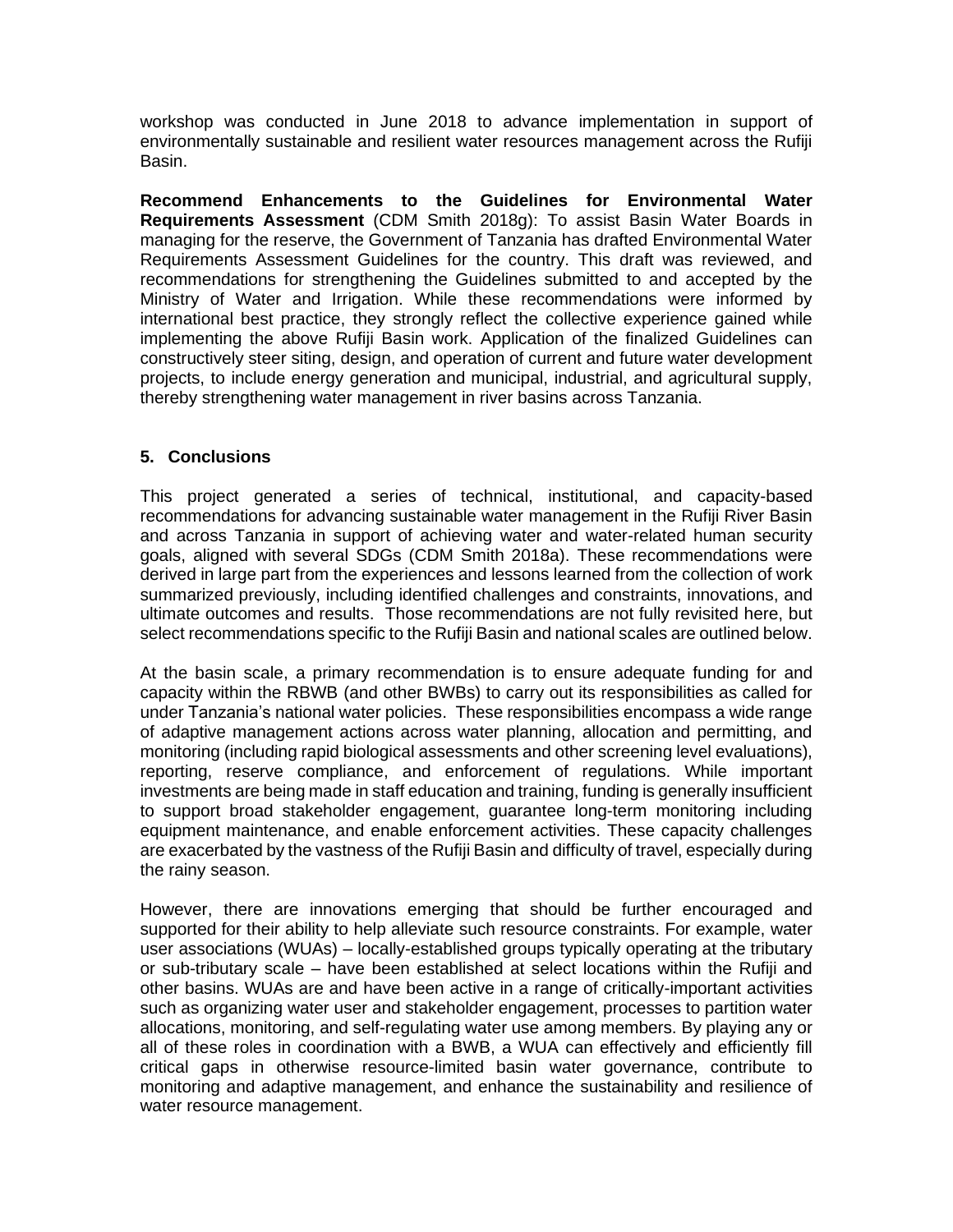workshop was conducted in June 2018 to advance implementation in support of environmentally sustainable and resilient water resources management across the Rufiji Basin.

**Recommend Enhancements to the Guidelines for Environmental Water Requirements Assessment** (CDM Smith 2018g): To assist Basin Water Boards in managing for the reserve, the Government of Tanzania has drafted Environmental Water Requirements Assessment Guidelines for the country. This draft was reviewed, and recommendations for strengthening the Guidelines submitted to and accepted by the Ministry of Water and Irrigation. While these recommendations were informed by international best practice, they strongly reflect the collective experience gained while implementing the above Rufiji Basin work. Application of the finalized Guidelines can constructively steer siting, design, and operation of current and future water development projects, to include energy generation and municipal, industrial, and agricultural supply, thereby strengthening water management in river basins across Tanzania.

## **5. Conclusions**

This project generated a series of technical, institutional, and capacity-based recommendations for advancing sustainable water management in the Rufiji River Basin and across Tanzania in support of achieving water and water-related human security goals, aligned with several SDGs (CDM Smith 2018a). These recommendations were derived in large part from the experiences and lessons learned from the collection of work summarized previously, including identified challenges and constraints, innovations, and ultimate outcomes and results. Those recommendations are not fully revisited here, but select recommendations specific to the Rufiji Basin and national scales are outlined below.

At the basin scale, a primary recommendation is to ensure adequate funding for and capacity within the RBWB (and other BWBs) to carry out its responsibilities as called for under Tanzania's national water policies. These responsibilities encompass a wide range of adaptive management actions across water planning, allocation and permitting, and monitoring (including rapid biological assessments and other screening level evaluations), reporting, reserve compliance, and enforcement of regulations. While important investments are being made in staff education and training, funding is generally insufficient to support broad stakeholder engagement, guarantee long-term monitoring including equipment maintenance, and enable enforcement activities. These capacity challenges are exacerbated by the vastness of the Rufiji Basin and difficulty of travel, especially during the rainy season.

However, there are innovations emerging that should be further encouraged and supported for their ability to help alleviate such resource constraints. For example, water user associations (WUAs) – locally-established groups typically operating at the tributary or sub-tributary scale – have been established at select locations within the Rufiji and other basins. WUAs are and have been active in a range of critically-important activities such as organizing water user and stakeholder engagement, processes to partition water allocations, monitoring, and self-regulating water use among members. By playing any or all of these roles in coordination with a BWB, a WUA can effectively and efficiently fill critical gaps in otherwise resource-limited basin water governance, contribute to monitoring and adaptive management, and enhance the sustainability and resilience of water resource management.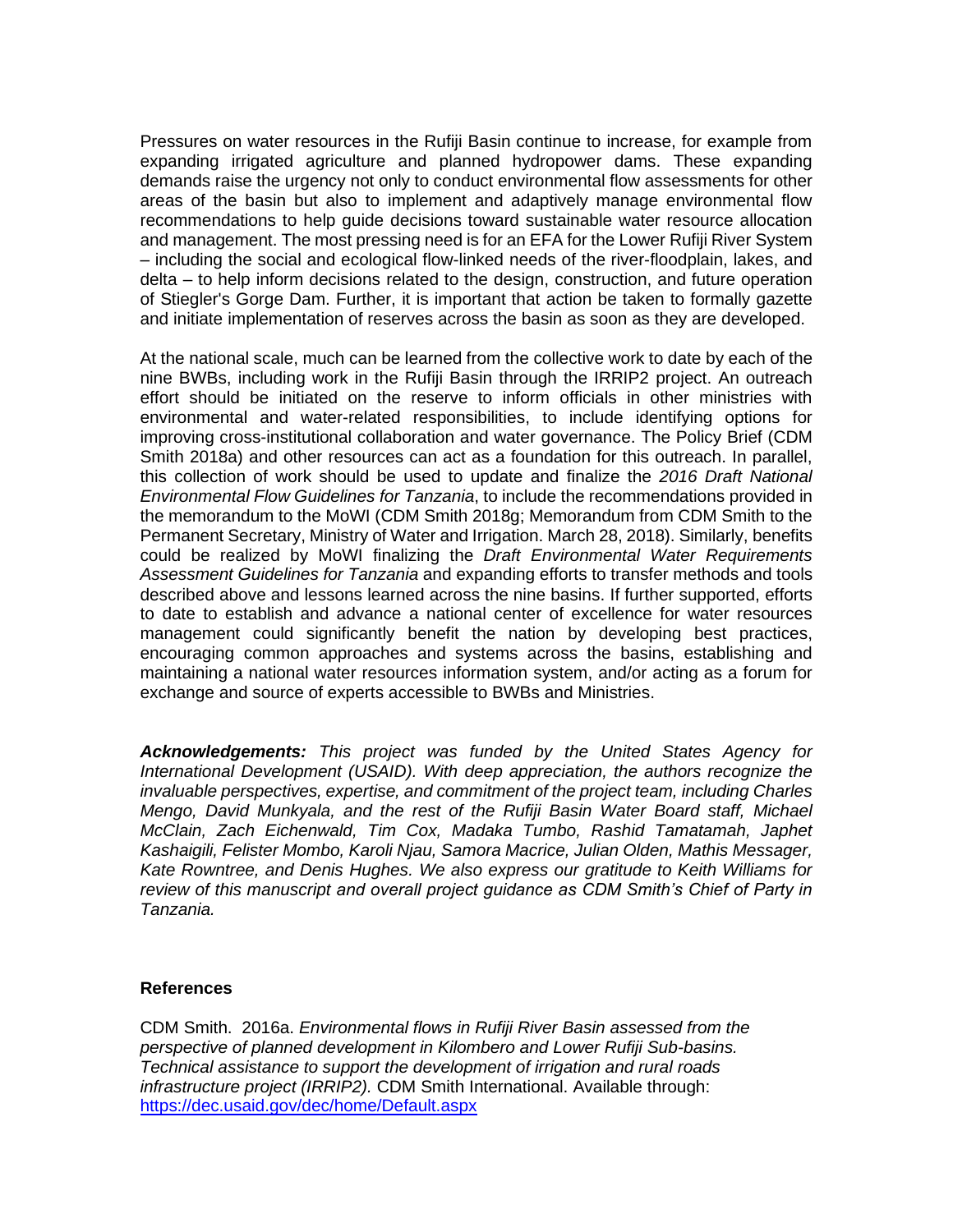Pressures on water resources in the Rufiji Basin continue to increase, for example from expanding irrigated agriculture and planned hydropower dams. These expanding demands raise the urgency not only to conduct environmental flow assessments for other areas of the basin but also to implement and adaptively manage environmental flow recommendations to help guide decisions toward sustainable water resource allocation and management. The most pressing need is for an EFA for the Lower Rufiji River System – including the social and ecological flow-linked needs of the river-floodplain, lakes, and delta – to help inform decisions related to the design, construction, and future operation of Stiegler's Gorge Dam. Further, it is important that action be taken to formally gazette and initiate implementation of reserves across the basin as soon as they are developed.

At the national scale, much can be learned from the collective work to date by each of the nine BWBs, including work in the Rufiji Basin through the IRRIP2 project. An outreach effort should be initiated on the reserve to inform officials in other ministries with environmental and water-related responsibilities, to include identifying options for improving cross-institutional collaboration and water governance. The Policy Brief (CDM Smith 2018a) and other resources can act as a foundation for this outreach. In parallel, this collection of work should be used to update and finalize the *2016 Draft National Environmental Flow Guidelines for Tanzania*, to include the recommendations provided in the memorandum to the MoWI (CDM Smith 2018g; Memorandum from CDM Smith to the Permanent Secretary, Ministry of Water and Irrigation. March 28, 2018). Similarly, benefits could be realized by MoWI finalizing the *Draft Environmental Water Requirements Assessment Guidelines for Tanzania* and expanding efforts to transfer methods and tools described above and lessons learned across the nine basins. If further supported, efforts to date to establish and advance a national center of excellence for water resources management could significantly benefit the nation by developing best practices, encouraging common approaches and systems across the basins, establishing and maintaining a national water resources information system, and/or acting as a forum for exchange and source of experts accessible to BWBs and Ministries.

*Acknowledgements: This project was funded by the United States Agency for International Development (USAID). With deep appreciation, the authors recognize the invaluable perspectives, expertise, and commitment of the project team, including Charles Mengo, David Munkyala, and the rest of the Rufiji Basin Water Board staff, Michael McClain, Zach Eichenwald, Tim Cox, Madaka Tumbo, Rashid Tamatamah, Japhet Kashaigili, Felister Mombo, Karoli Njau, Samora Macrice, Julian Olden, Mathis Messager, Kate Rowntree, and Denis Hughes. We also express our gratitude to Keith Williams for review of this manuscript and overall project guidance as CDM Smith's Chief of Party in Tanzania.*

#### **References**

CDM Smith. 2016a. *Environmental flows in Rufiji River Basin assessed from the perspective of planned development in Kilombero and Lower Rufiji Sub-basins. Technical assistance to support the development of irrigation and rural roads infrastructure project (IRRIP2).* CDM Smith International. Available through: <https://dec.usaid.gov/dec/home/Default.aspx>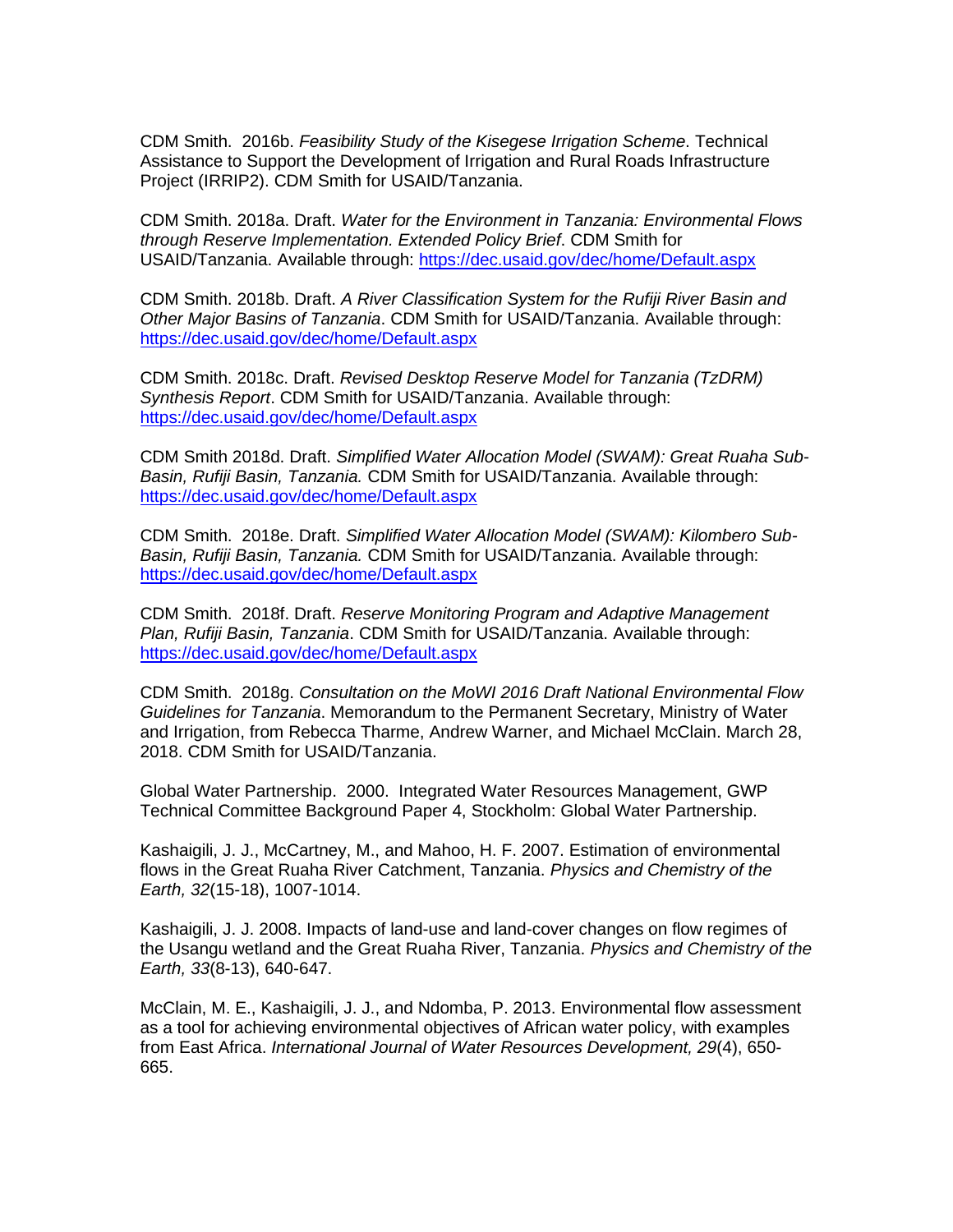CDM Smith. 2016b. *Feasibility Study of the Kisegese Irrigation Scheme*. Technical Assistance to Support the Development of Irrigation and Rural Roads Infrastructure Project (IRRIP2). CDM Smith for USAID/Tanzania.

CDM Smith. 2018a. Draft. *Water for the Environment in Tanzania: Environmental Flows through Reserve Implementation. Extended Policy Brief*. CDM Smith for USAID/Tanzania. Available through:<https://dec.usaid.gov/dec/home/Default.aspx>

CDM Smith. 2018b. Draft. *A River Classification System for the Rufiji River Basin and Other Major Basins of Tanzania*. CDM Smith for USAID/Tanzania. Available through: <https://dec.usaid.gov/dec/home/Default.aspx>

CDM Smith. 2018c. Draft. *Revised Desktop Reserve Model for Tanzania (TzDRM) Synthesis Report*. CDM Smith for USAID/Tanzania. Available through: <https://dec.usaid.gov/dec/home/Default.aspx>

CDM Smith 2018d. Draft. *Simplified Water Allocation Model (SWAM): Great Ruaha Sub-Basin, Rufiji Basin, Tanzania.* CDM Smith for USAID/Tanzania. Available through: <https://dec.usaid.gov/dec/home/Default.aspx>

CDM Smith. 2018e. Draft. *Simplified Water Allocation Model (SWAM): Kilombero Sub-Basin, Rufiji Basin, Tanzania.* CDM Smith for USAID/Tanzania. Available through: <https://dec.usaid.gov/dec/home/Default.aspx>

CDM Smith. 2018f. Draft. *Reserve Monitoring Program and Adaptive Management Plan, Rufiji Basin, Tanzania*. CDM Smith for USAID/Tanzania. Available through: <https://dec.usaid.gov/dec/home/Default.aspx>

CDM Smith. 2018g. *Consultation on the MoWI 2016 Draft National Environmental Flow Guidelines for Tanzania*. Memorandum to the Permanent Secretary, Ministry of Water and Irrigation, from Rebecca Tharme, Andrew Warner, and Michael McClain. March 28, 2018. CDM Smith for USAID/Tanzania.

Global Water Partnership. 2000. Integrated Water Resources Management, GWP Technical Committee Background Paper 4, Stockholm: Global Water Partnership.

Kashaigili, J. J., McCartney, M., and Mahoo, H. F. 2007. Estimation of environmental flows in the Great Ruaha River Catchment, Tanzania. *Physics and Chemistry of the Earth, 32*(15-18), 1007-1014.

Kashaigili, J. J. 2008. Impacts of land-use and land-cover changes on flow regimes of the Usangu wetland and the Great Ruaha River, Tanzania. *Physics and Chemistry of the Earth, 33*(8-13), 640-647.

McClain, M. E., Kashaigili, J. J., and Ndomba, P. 2013. Environmental flow assessment as a tool for achieving environmental objectives of African water policy, with examples from East Africa. *International Journal of Water Resources Development, 29*(4), 650- 665.